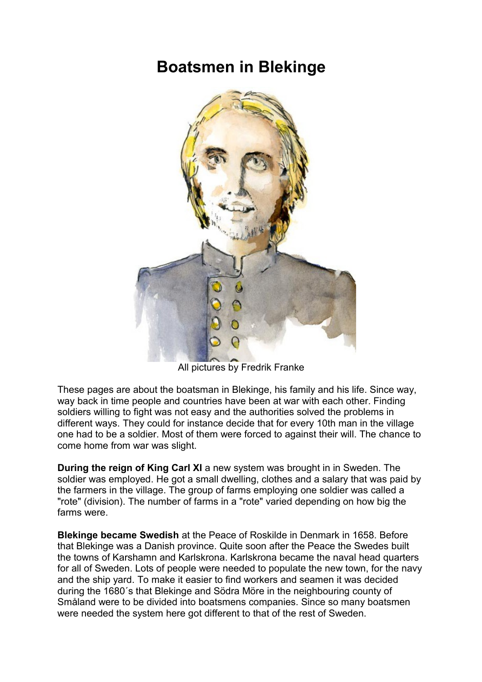# **Boatsmen in Blekinge**



All pictures by Fredrik Franke

These pages are about the boatsman in Blekinge, his family and his life. Since way, way back in time people and countries have been at war with each other. Finding soldiers willing to fight was not easy and the authorities solved the problems in different ways. They could for instance decide that for every 10th man in the village one had to be a soldier. Most of them were forced to against their will. The chance to come home from war was slight.

**During the reign of King Carl XI** a new system was brought in in Sweden. The soldier was employed. He got a small dwelling, clothes and a salary that was paid by the farmers in the village. The group of farms employing one soldier was called a "rote" (division). The number of farms in a "rote" varied depending on how big the farms were.

**Blekinge became Swedish** at the Peace of Roskilde in Denmark in 1658. Before that Blekinge was a Danish province. Quite soon after the Peace the Swedes built the towns of Karshamn and Karlskrona. Karlskrona became the naval head quarters for all of Sweden. Lots of people were needed to populate the new town, for the navy and the ship yard. To make it easier to find workers and seamen it was decided during the 1680´s that Blekinge and Södra Möre in the neighbouring county of Småland were to be divided into boatsmens companies. Since so many boatsmen were needed the system here got different to that of the rest of Sweden.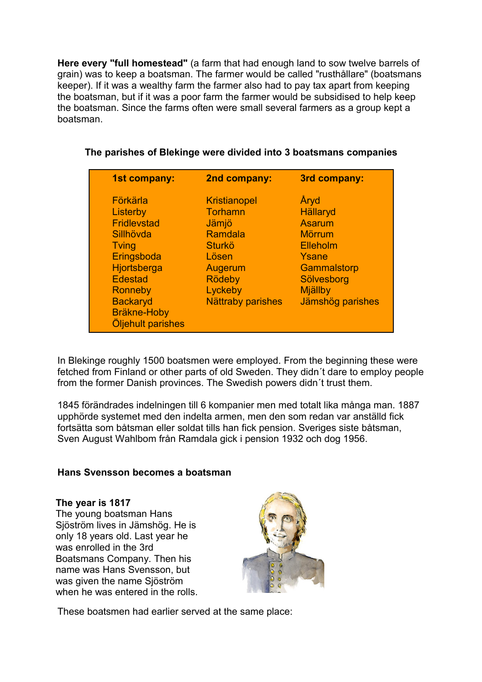**Here every "full homestead"** (a farm that had enough land to sow twelve barrels of grain) was to keep a boatsman. The farmer would be called "rusthållare" (boatsmans keeper). If it was a wealthy farm the farmer also had to pay tax apart from keeping the boatsman, but if it was a poor farm the farmer would be subsidised to help keep the boatsman. Since the farms often were small several farmers as a group kept a boatsman.

| 1st company:                                                                                                                                                                                    | 2nd company:                                                                                                                                    | 3rd company:                                                                                                                               |
|-------------------------------------------------------------------------------------------------------------------------------------------------------------------------------------------------|-------------------------------------------------------------------------------------------------------------------------------------------------|--------------------------------------------------------------------------------------------------------------------------------------------|
| Förkärla<br>Listerby<br><b>Fridlevstad</b><br>Sillhövda<br>Tving<br>Eringsboda<br>Hjortsberga<br><b>Edestad</b><br><b>Ronneby</b><br><b>Backaryd</b><br><b>Bräkne-Hoby</b><br>Öljehult parishes | <b>Kristianopel</b><br>Torhamn<br>Jämjö<br>Ramdala<br><b>Sturkö</b><br>Lösen<br>Augerum<br><b>Rödeby</b><br>Lyckeby<br><b>Nättraby parishes</b> | Åryd<br><b>Hällaryd</b><br><b>Asarum</b><br><b>Mörrum</b><br>Elleholm<br>Ysane<br>Gammalstorp<br>Sölvesborg<br>Mjällby<br>Jämshög parishes |

# **The parishes of Blekinge were divided into 3 boatsmans companies**

In Blekinge roughly 1500 boatsmen were employed. From the beginning these were fetched from Finland or other parts of old Sweden. They didn´t dare to employ people from the former Danish provinces. The Swedish powers didn´t trust them.

1845 förändrades indelningen till 6 kompanier men med totalt lika många man. 1887 upphörde systemet med den indelta armen, men den som redan var anställd fick fortsätta som båtsman eller soldat tills han fick pension. Sveriges siste båtsman, Sven August Wahlbom från Ramdala gick i pension 1932 och dog 1956.

# **Hans Svensson becomes a boatsman**

#### **The year is 1817**

The young boatsman Hans Sjöström lives in Jämshög. He is only 18 years old. Last year he was enrolled in the 3rd Boatsmans Company. Then his name was Hans Svensson, but was given the name Sjöström when he was entered in the rolls.



These boatsmen had earlier served at the same place: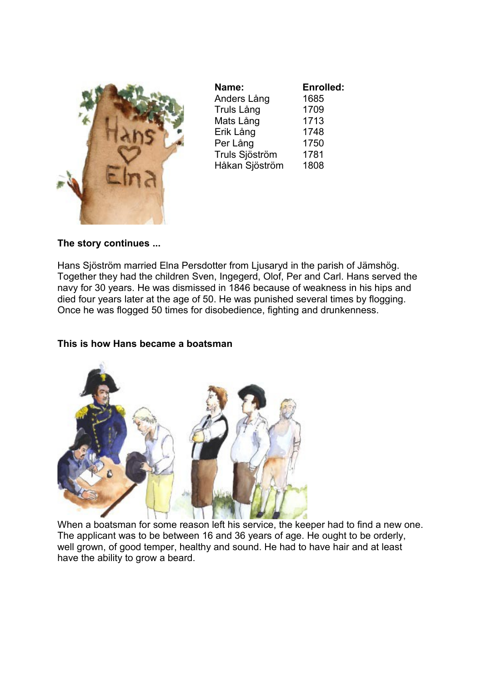

| Name:          | Enrolled: |
|----------------|-----------|
| Anders Lång    | 1685      |
| Truls Lång     | 1709      |
| Mats Lång      | 1713      |
| Erik Lång      | 1748      |
| Per Lång       | 1750      |
| Truls Sjöström | 1781      |
| Håkan Sjöström | 1808      |

#### **The story continues ...**

Hans Sjöström married Elna Persdotter from Ljusaryd in the parish of Jämshög. Together they had the children Sven, Ingegerd, Olof, Per and Carl. Hans served the navy for 30 years. He was dismissed in 1846 because of weakness in his hips and died four years later at the age of 50. He was punished several times by flogging. Once he was flogged 50 times for disobedience, fighting and drunkenness.

#### **This is how Hans became a boatsman**



When a boatsman for some reason left his service, the keeper had to find a new one. The applicant was to be between 16 and 36 years of age. He ought to be orderly, well grown, of good temper, healthy and sound. He had to have hair and at least have the ability to grow a beard.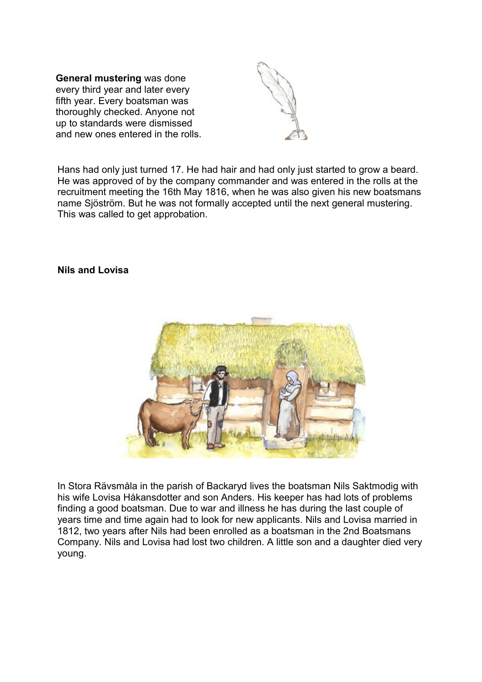**General mustering** was done every third year and later every fifth year. Every boatsman was thoroughly checked. Anyone not up to standards were dismissed and new ones entered in the rolls.



Hans had only just turned 17. He had hair and had only just started to grow a beard. He was approved of by the company commander and was entered in the rolls at the recruitment meeting the 16th May 1816, when he was also given his new boatsmans name Sjöström. But he was not formally accepted until the next general mustering. This was called to get approbation.

#### **Nils and Lovisa**



In Stora Rävsmåla in the parish of Backaryd lives the boatsman Nils Saktmodig with his wife Lovisa Håkansdotter and son Anders. His keeper has had lots of problems finding a good boatsman. Due to war and illness he has during the last couple of years time and time again had to look for new applicants. Nils and Lovisa married in 1812, two years after Nils had been enrolled as a boatsman in the 2nd Boatsmans Company. Nils and Lovisa had lost two children. A little son and a daughter died very young.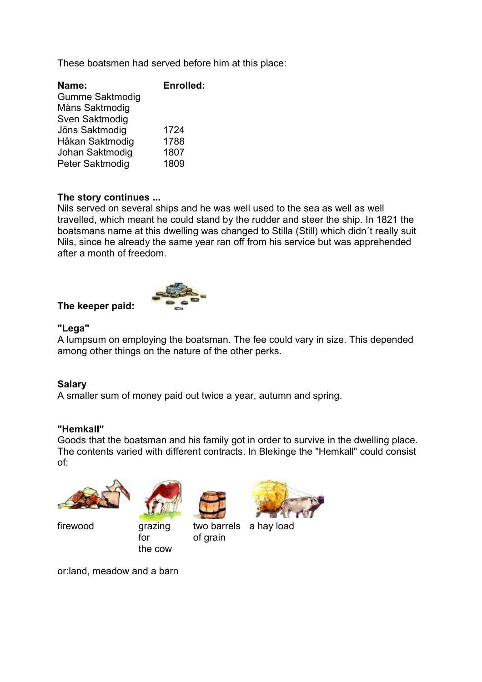These boatsmen had served before him at this place:

| Name:           | <b>Enrolled:</b> |
|-----------------|------------------|
| Gumme Saktmodig |                  |
| Måns Saktmodig  |                  |
| Sven Saktmodig  |                  |
| Jöns Saktmodig  | 1724             |
| Håkan Saktmodig | 1788             |
| Johan Saktmodig | 1807             |
| Peter Saktmodig | 1809             |

#### **The story continues ...**

Nils served on several ships and he was well used to the sea as well as well travelled, which meant he could stand by the rudder and steer the ship. In 1821 the boatsmans name at this dwelling was changed to Stilla (Still) which didn´t really suit Nils, since he already the same year ran off from his service but was apprehended after a month of freedom.

#### **The keeper paid:**



#### **"Lega"**

A lumpsum on employing the boatsman. The fee could vary in size. This depended among other things on the nature of the other perks.

#### **Salary**

A smaller sum of money paid out twice a year, autumn and spring.

#### **"Hemkall"**

Goods that the boatsman and his family got in order to survive in the dwelling place. The contents varied with different contracts. In Blekinge the "Hemkall" could consist of:





firewood grazing for the cow



of grain



two barrels a hay load

or:land, meadow and a barn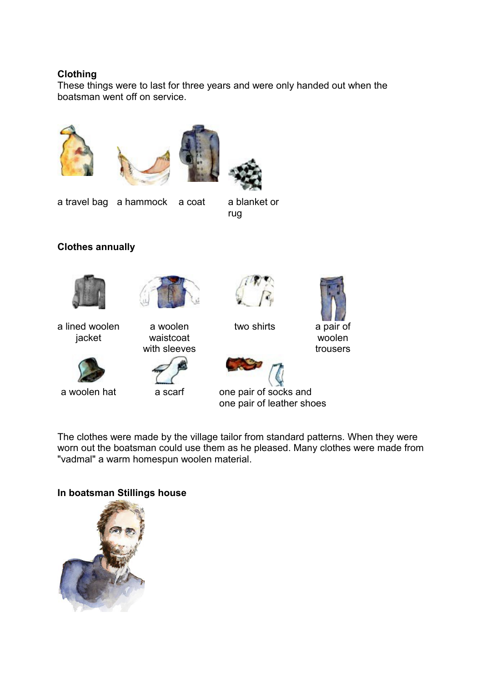#### **Clothing**

These things were to last for three years and were only handed out when the boatsman went off on service.









a travel bag a hammock a coat a blanket or

rug

# **Clothes annually**



a lined woolen jacket





waistcoat with sleeves



two shirts a pair of



woolen trousers



one pair of leather shoes

The clothes were made by the village tailor from standard patterns. When they were worn out the boatsman could use them as he pleased. Many clothes were made from "vadmal" a warm homespun woolen material.

# **In boatsman Stillings house**

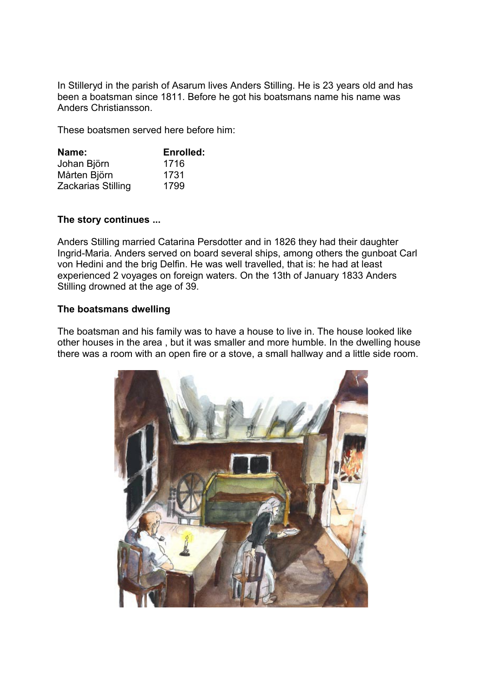In Stilleryd in the parish of Asarum lives Anders Stilling. He is 23 years old and has been a boatsman since 1811. Before he got his boatsmans name his name was Anders Christiansson.

These boatsmen served here before him:

| Name:              | Enrolled: |
|--------------------|-----------|
| Johan Björn        | 1716      |
| Mårten Björn       | 1731      |
| Zackarias Stilling | 1799      |

#### **The story continues ...**

Anders Stilling married Catarina Persdotter and in 1826 they had their daughter Ingrid-Maria. Anders served on board several ships, among others the gunboat Carl von Hedini and the brig Delfin. He was well travelled, that is: he had at least experienced 2 voyages on foreign waters. On the 13th of January 1833 Anders Stilling drowned at the age of 39.

#### **The boatsmans dwelling**

The boatsman and his family was to have a house to live in. The house looked like other houses in the area , but it was smaller and more humble. In the dwelling house there was a room with an open fire or a stove, a small hallway and a little side room.

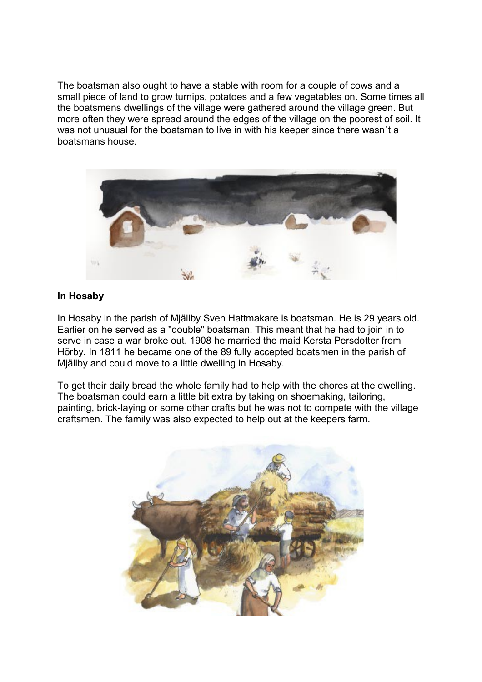The boatsman also ought to have a stable with room for a couple of cows and a small piece of land to grow turnips, potatoes and a few vegetables on. Some times all the boatsmens dwellings of the village were gathered around the village green. But more often they were spread around the edges of the village on the poorest of soil. It was not unusual for the boatsman to live in with his keeper since there wasn´t a boatsmans house.

![](_page_7_Picture_1.jpeg)

#### **In Hosaby**

In Hosaby in the parish of Mjällby Sven Hattmakare is boatsman. He is 29 years old. Earlier on he served as a "double" boatsman. This meant that he had to join in to serve in case a war broke out. 1908 he married the maid Kersta Persdotter from Hörby. In 1811 he became one of the 89 fully accepted boatsmen in the parish of Mjällby and could move to a little dwelling in Hosaby.

To get their daily bread the whole family had to help with the chores at the dwelling. The boatsman could earn a little bit extra by taking on shoemaking, tailoring, painting, brick-laying or some other crafts but he was not to compete with the village craftsmen. The family was also expected to help out at the keepers farm.

![](_page_7_Picture_5.jpeg)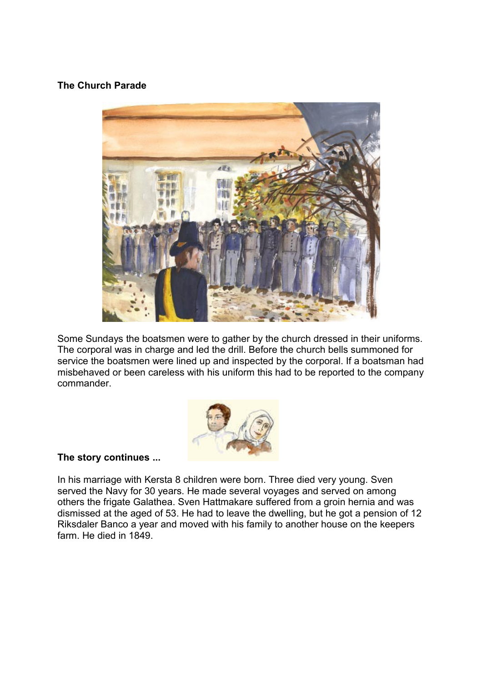#### **The Church Parade**

![](_page_8_Picture_1.jpeg)

Some Sundays the boatsmen were to gather by the church dressed in their uniforms. The corporal was in charge and led the drill. Before the church bells summoned for service the boatsmen were lined up and inspected by the corporal. If a boatsman had misbehaved or been careless with his uniform this had to be reported to the company commander.

![](_page_8_Picture_3.jpeg)

#### **The story continues ...**

In his marriage with Kersta 8 children were born. Three died very young. Sven served the Navy for 30 years. He made several voyages and served on among others the frigate Galathea. Sven Hattmakare suffered from a groin hernia and was dismissed at the aged of 53. He had to leave the dwelling, but he got a pension of 12 Riksdaler Banco a year and moved with his family to another house on the keepers farm. He died in 1849.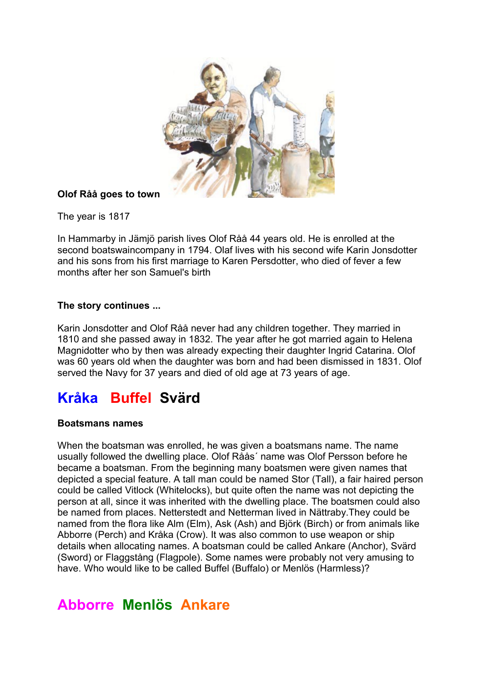![](_page_9_Picture_0.jpeg)

# **Olof Råå goes to town**

The year is 1817

In Hammarby in Jämjö parish lives Olof Råå 44 years old. He is enrolled at the second boatswaincompany in 1794. Olaf lives with his second wife Karin Jonsdotter and his sons from his first marriage to Karen Persdotter, who died of fever a few months after her son Samuel's birth

# **The story continues ...**

Karin Jonsdotter and Olof Råå never had any children together. They married in 1810 and she passed away in 1832. The year after he got married again to Helena Magnidotter who by then was already expecting their daughter Ingrid Catarina. Olof was 60 years old when the daughter was born and had been dismissed in 1831. Olof served the Navy for 37 years and died of old age at 73 years of age.

# **Kråka Buffel Svärd**

# **Boatsmans names**

When the boatsman was enrolled, he was given a boatsmans name. The name usually followed the dwelling place. Olof Råås´ name was Olof Persson before he became a boatsman. From the beginning many boatsmen were given names that depicted a special feature. A tall man could be named Stor (Tall), a fair haired person could be called Vitlock (Whitelocks), but quite often the name was not depicting the person at all, since it was inherited with the dwelling place. The boatsmen could also be named from places. Netterstedt and Netterman lived in Nättraby.They could be named from the flora like Alm (Elm), Ask (Ash) and Björk (Birch) or from animals like Abborre (Perch) and Kråka (Crow). It was also common to use weapon or ship details when allocating names. A boatsman could be called Ankare (Anchor), Svärd (Sword) or Flaggstång (Flagpole). Some names were probably not very amusing to have. Who would like to be called Buffel (Buffalo) or Menlös (Harmless)?

# **Abborre Menlös Ankare**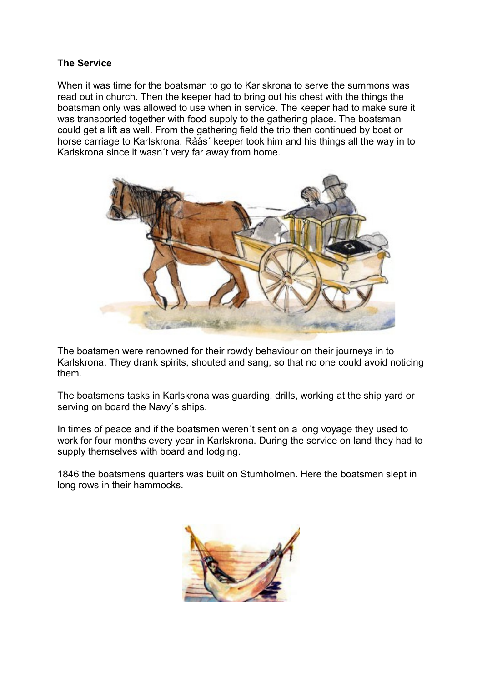#### **The Service**

When it was time for the boatsman to go to Karlskrona to serve the summons was read out in church. Then the keeper had to bring out his chest with the things the boatsman only was allowed to use when in service. The keeper had to make sure it was transported together with food supply to the gathering place. The boatsman could get a lift as well. From the gathering field the trip then continued by boat or horse carriage to Karlskrona. Råås´ keeper took him and his things all the way in to Karlskrona since it wasn´t very far away from home.

![](_page_10_Picture_2.jpeg)

The boatsmen were renowned for their rowdy behaviour on their journeys in to Karlskrona. They drank spirits, shouted and sang, so that no one could avoid noticing them.

The boatsmens tasks in Karlskrona was guarding, drills, working at the ship yard or serving on board the Navy´s ships.

In times of peace and if the boatsmen weren´t sent on a long voyage they used to work for four months every year in Karlskrona. During the service on land they had to supply themselves with board and lodging.

1846 the boatsmens quarters was built on Stumholmen. Here the boatsmen slept in long rows in their hammocks.

![](_page_10_Picture_7.jpeg)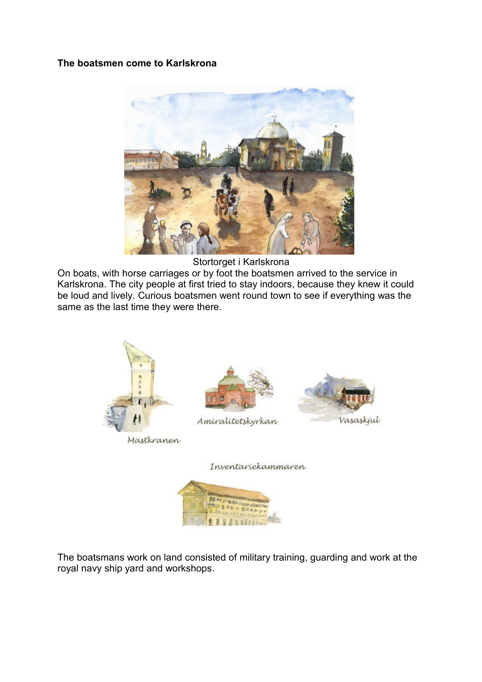#### **The boatsmen come to Karlskrona**

![](_page_11_Picture_1.jpeg)

Stortorget i Karlskrona

On boats, with horse carriages or by foot the boatsmen arrived to the service in Karlskrona. The city people at first tried to stay indoors, because they knew it could be loud and lively. Curious boatsmen went round town to see if everything was the same as the last time they were there.

![](_page_11_Picture_4.jpeg)

Inventariekammaren

![](_page_11_Picture_6.jpeg)

The boatsmans work on land consisted of military training, guarding and work at the royal navy ship yard and workshops.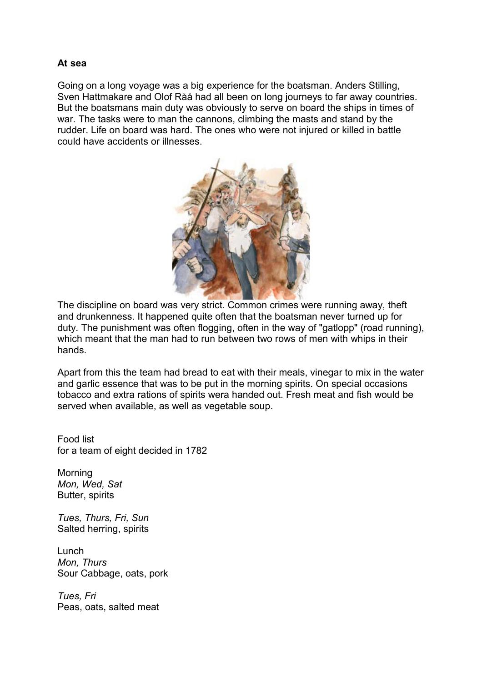#### **At sea**

Going on a long voyage was a big experience for the boatsman. Anders Stilling, Sven Hattmakare and Olof Råå had all been on long journeys to far away countries. But the boatsmans main duty was obviously to serve on board the ships in times of war. The tasks were to man the cannons, climbing the masts and stand by the rudder. Life on board was hard. The ones who were not injured or killed in battle could have accidents or illnesses.

![](_page_12_Picture_2.jpeg)

The discipline on board was very strict. Common crimes were running away, theft and drunkenness. It happened quite often that the boatsman never turned up for duty. The punishment was often flogging, often in the way of "gatlopp" (road running), which meant that the man had to run between two rows of men with whips in their hands.

Apart from this the team had bread to eat with their meals, vinegar to mix in the water and garlic essence that was to be put in the morning spirits. On special occasions tobacco and extra rations of spirits wera handed out. Fresh meat and fish would be served when available, as well as vegetable soup.

Food list for a team of eight decided in 1782

Morning *Mon, Wed, Sat*  Butter, spirits

*Tues, Thurs, Fri, Sun*  Salted herring, spirits

Lunch *Mon, Thurs*  Sour Cabbage, oats, pork

*Tues, Fri*  Peas, oats, salted meat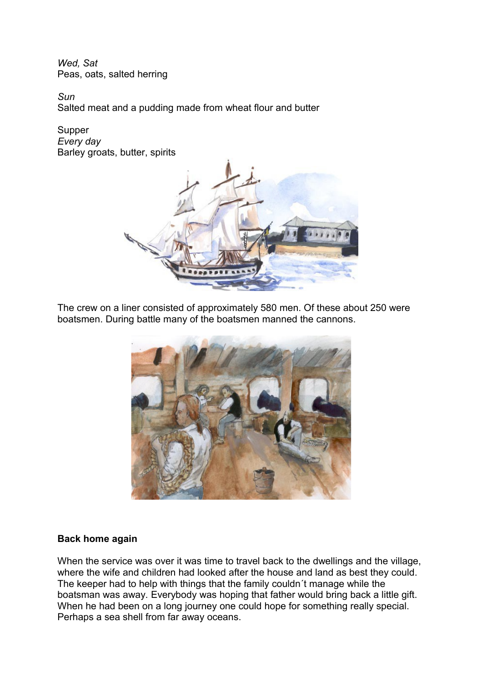*Wed, Sat*  Peas, oats, salted herring

*Sun*  Salted meat and a pudding made from wheat flour and butter

Supper *Every day*  Barley groats, butter, spirits

![](_page_13_Picture_3.jpeg)

The crew on a liner consisted of approximately 580 men. Of these about 250 were boatsmen. During battle many of the boatsmen manned the cannons.

![](_page_13_Picture_5.jpeg)

# **Back home again**

When the service was over it was time to travel back to the dwellings and the village, where the wife and children had looked after the house and land as best they could. The keeper had to help with things that the family couldn´t manage while the boatsman was away. Everybody was hoping that father would bring back a little gift. When he had been on a long journey one could hope for something really special. Perhaps a sea shell from far away oceans.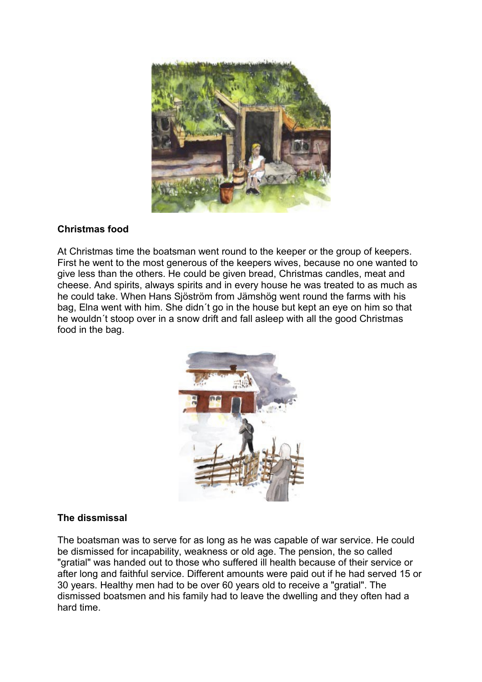![](_page_14_Picture_0.jpeg)

#### **Christmas food**

At Christmas time the boatsman went round to the keeper or the group of keepers. First he went to the most generous of the keepers wives, because no one wanted to give less than the others. He could be given bread, Christmas candles, meat and cheese. And spirits, always spirits and in every house he was treated to as much as he could take. When Hans Sjöström from Jämshög went round the farms with his bag, Elna went with him. She didn´t go in the house but kept an eye on him so that he wouldn´t stoop over in a snow drift and fall asleep with all the good Christmas food in the bag.

![](_page_14_Picture_3.jpeg)

# **The dissmissal**

The boatsman was to serve for as long as he was capable of war service. He could be dismissed for incapability, weakness or old age. The pension, the so called "gratial" was handed out to those who suffered ill health because of their service or after long and faithful service. Different amounts were paid out if he had served 15 or 30 years. Healthy men had to be over 60 years old to receive a "gratial". The dismissed boatsmen and his family had to leave the dwelling and they often had a hard time.